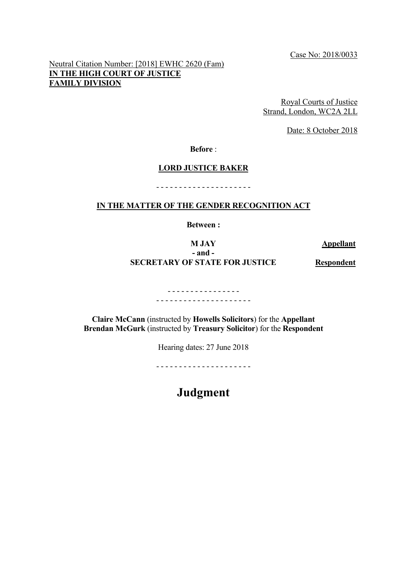Case No: 2018/0033

Neutral Citation Number: [2018] EWHC 2620 (Fam) **IN THE HIGH COURT OF JUSTICE FAMILY DIVISION**

> Royal Courts of Justice Strand, London, WC2A 2LL

> > Date: 8 October 2018

**Before** :

### **LORD JUSTICE BAKER**

**IN THE MATTER OF THE GENDER RECOGNITION ACT**

- - - - - - - - - - - - - - - - - - - - -

**Between :**

# **M JAY Appellant - and - SECRETARY OF STATE FOR JUSTICE Respondent**

- - - - - - - - - - - - - - - - - - - - - - - - - - - - - - - - - - - - -

**Claire McCann** (instructed by **Howells Solicitors**) for the **Appellant Brendan McGurk** (instructed by **Treasury Solicitor**) for the **Respondent**

Hearing dates: 27 June 2018

- - - - - - - - - - - - - - - - - - - - -

**Judgment**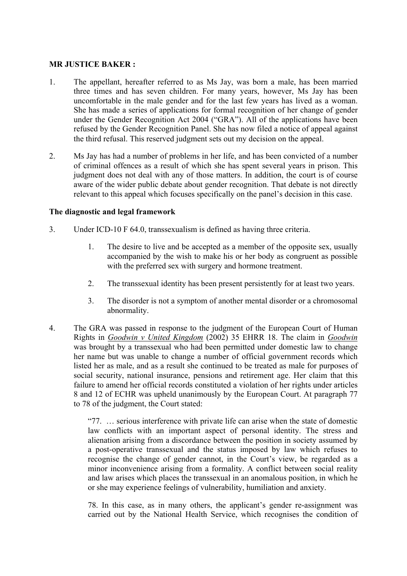## **MR JUSTICE BAKER :**

- 1. The appellant, hereafter referred to as Ms Jay, was born a male, has been married three times and has seven children. For many years, however, Ms Jay has been uncomfortable in the male gender and for the last few years has lived as a woman. She has made a series of applications for formal recognition of her change of gender under the Gender Recognition Act 2004 ("GRA"). All of the applications have been refused by the Gender Recognition Panel. She has now filed a notice of appeal against the third refusal. This reserved judgment sets out my decision on the appeal.
- 2. Ms Jay has had a number of problems in her life, and has been convicted of a number of criminal offences as a result of which she has spent several years in prison. This judgment does not deal with any of those matters. In addition, the court is of course aware of the wider public debate about gender recognition. That debate is not directly relevant to this appeal which focuses specifically on the panel's decision in this case.

## **The diagnostic and legal framework**

- 3. Under ICD-10 F 64.0, transsexualism is defined as having three criteria.
	- 1. The desire to live and be accepted as a member of the opposite sex, usually accompanied by the wish to make his or her body as congruent as possible with the preferred sex with surgery and hormone treatment.
	- 2. The transsexual identity has been present persistently for at least two years.
	- 3. The disorder is not a symptom of another mental disorder or a chromosomal abnormality.
- 4. The GRA was passed in response to the judgment of the European Court of Human Rights in *Goodwin v United Kingdom* (2002) 35 EHRR 18. The claim in *Goodwin* was brought by a transsexual who had been permitted under domestic law to change her name but was unable to change a number of official government records which listed her as male, and as a result she continued to be treated as male for purposes of social security, national insurance, pensions and retirement age. Her claim that this failure to amend her official records constituted a violation of her rights under articles 8 and 12 of ECHR was upheld unanimously by the European Court. At paragraph 77 to 78 of the judgment, the Court stated:

"77. … serious interference with private life can arise when the state of domestic law conflicts with an important aspect of personal identity. The stress and alienation arising from a discordance between the position in society assumed by a post-operative transsexual and the status imposed by law which refuses to recognise the change of gender cannot, in the Court's view, be regarded as a minor inconvenience arising from a formality. A conflict between social reality and law arises which places the transsexual in an anomalous position, in which he or she may experience feelings of vulnerability, humiliation and anxiety.

78. In this case, as in many others, the applicant's gender re-assignment was carried out by the National Health Service, which recognises the condition of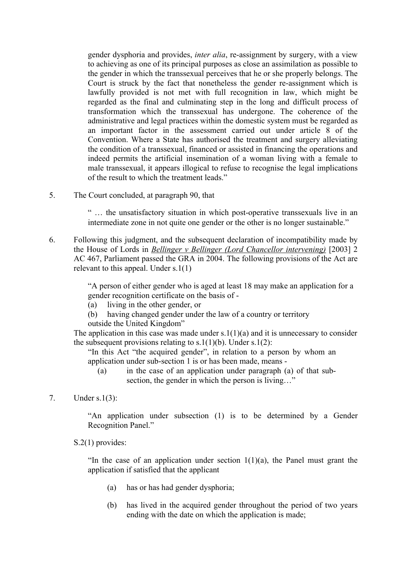gender dysphoria and provides, *inter alia*, re-assignment by surgery, with a view to achieving as one of its principal purposes as close an assimilation as possible to the gender in which the transsexual perceives that he or she properly belongs. The Court is struck by the fact that nonetheless the gender re-assignment which is lawfully provided is not met with full recognition in law, which might be regarded as the final and culminating step in the long and difficult process of transformation which the transsexual has undergone. The coherence of the administrative and legal practices within the domestic system must be regarded as an important factor in the assessment carried out under article 8 of the Convention. Where a State has authorised the treatment and surgery alleviating the condition of a transsexual, financed or assisted in financing the operations and indeed permits the artificial insemination of a woman living with a female to male transsexual, it appears illogical to refuse to recognise the legal implications of the result to which the treatment leads."

5. The Court concluded, at paragraph 90, that

" … the unsatisfactory situation in which post-operative transsexuals live in an intermediate zone in not quite one gender or the other is no longer sustainable."

6. Following this judgment, and the subsequent declaration of incompatibility made by the House of Lords in *Bellinger v Bellinger (Lord Chancellor intervening)* [2003] 2 AC 467, Parliament passed the GRA in 2004. The following provisions of the Act are relevant to this appeal. Under s.1(1)

> "A person of either gender who is aged at least 18 may make an application for a gender recognition certificate on the basis of -

- (a) living in the other gender, or
- (b) having changed gender under the law of a country or territory
- outside the United Kingdom"

The application in this case was made under  $s.1(1)(a)$  and it is unnecessary to consider the subsequent provisions relating to s.1(1)(b). Under s.1(2):

"In this Act "the acquired gender", in relation to a person by whom an application under sub-section 1 is or has been made, means -

- (a) in the case of an application under paragraph (a) of that subsection, the gender in which the person is living..."
- 7. Under s.1(3):

"An application under subsection (1) is to be determined by a Gender Recognition Panel."

S.2(1) provides:

"In the case of an application under section  $1(1)(a)$ , the Panel must grant the application if satisfied that the applicant

- (a) has or has had gender dysphoria;
- (b) has lived in the acquired gender throughout the period of two years ending with the date on which the application is made;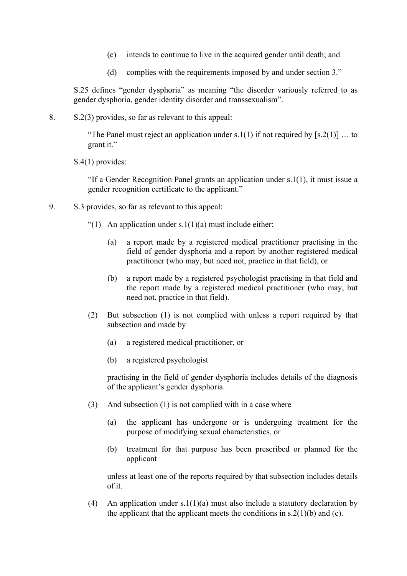- (c) intends to continue to live in the acquired gender until death; and
- (d) complies with the requirements imposed by and under section 3."

S.25 defines "gender dysphoria" as meaning "the disorder variously referred to as gender dysphoria, gender identity disorder and transsexualism".

8. S.2(3) provides, so far as relevant to this appeal:

"The Panel must reject an application under s.1(1) if not required by [s.2(1)] ... to grant it."

S.4(1) provides:

"If a Gender Recognition Panel grants an application under s.1(1), it must issue a gender recognition certificate to the applicant."

- 9. S.3 provides, so far as relevant to this appeal:
	- "(1) An application under  $s.1(1)(a)$  must include either:
		- (a) a report made by a registered medical practitioner practising in the field of gender dysphoria and a report by another registered medical practitioner (who may, but need not, practice in that field), or
		- (b) a report made by a registered psychologist practising in that field and the report made by a registered medical practitioner (who may, but need not, practice in that field).
	- (2) But subsection (1) is not complied with unless a report required by that subsection and made by
		- (a) a registered medical practitioner, or
		- (b) a registered psychologist

practising in the field of gender dysphoria includes details of the diagnosis of the applicant's gender dysphoria.

- (3) And subsection (1) is not complied with in a case where
	- (a) the applicant has undergone or is undergoing treatment for the purpose of modifying sexual characteristics, or
	- (b) treatment for that purpose has been prescribed or planned for the applicant

unless at least one of the reports required by that subsection includes details of it.

(4) An application under s.1(1)(a) must also include a statutory declaration by the applicant that the applicant meets the conditions in  $s \cdot 2(1)(b)$  and (c).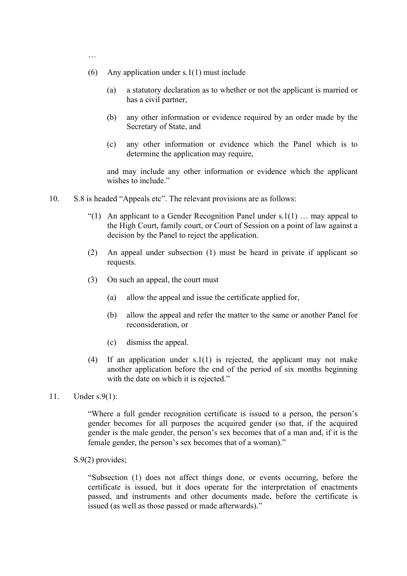- …
- (6) Any application under  $s.1(1)$  must include
	- (a) a statutory declaration as to whether or not the applicant is married or has a civil partner,
	- (b) any other information or evidence required by an order made by the Secretary of State, and
	- (c) any other information or evidence which the Panel which is to determine the application may require,

and may include any other information or evidence which the applicant wishes to include."

- 10. S.8 is headed "Appeals etc". The relevant provisions are as follows:
	- "(1) An applicant to a Gender Recognition Panel under  $s.1(1)$  ... may appeal to the High Court, family court, or Court of Session on a point of law against a decision by the Panel to reject the application.
	- (2) An appeal under subsection (1) must be heard in private if applicant so requests.
	- (3) On such an appeal, the court must
		- (a) allow the appeal and issue the certificate applied for,
		- (b) allow the appeal and refer the matter to the same or another Panel for reconsideration, or
		- (c) dismiss the appeal.
	- (4) If an application under s.1(1) is rejected, the applicant may not make another application before the end of the period of six months beginning with the date on which it is rejected."
- 11. Under s.9(1):

"Where a full gender recognition certificate is issued to a person, the person's gender becomes for all purposes the acquired gender (so that, if the acquired gender is the male gender, the person's sex becomes that of a man and, if it is the female gender, the person's sex becomes that of a woman)."

S.9(2) provides;

"Subsection (1) does not affect things done, or events occurring, before the certificate is issued, but it does operate for the interpretation of enactments passed, and instruments and other documents made, before the certificate is issued (as well as those passed or made afterwards)."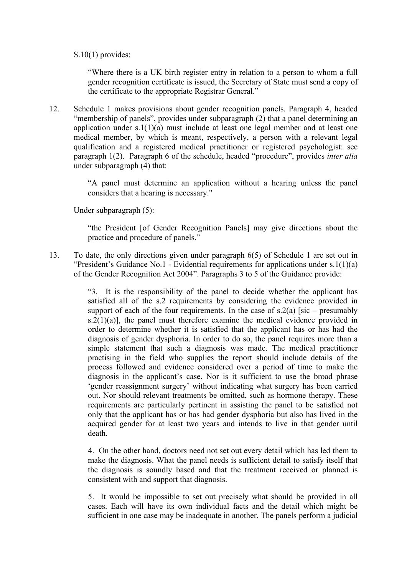### S.10(1) provides:

"Where there is a UK birth register entry in relation to a person to whom a full gender recognition certificate is issued, the Secretary of State must send a copy of the certificate to the appropriate Registrar General."

12. Schedule 1 makes provisions about gender recognition panels. Paragraph 4, headed "membership of panels", provides under subparagraph (2) that a panel determining an application under  $s.1(1)(a)$  must include at least one legal member and at least one medical member, by which is meant, respectively, a person with a relevant legal qualification and a registered medical practitioner or registered psychologist: see paragraph 1(2). Paragraph 6 of the schedule, headed "procedure", provides *inter alia* under subparagraph (4) that:

> "A panel must determine an application without a hearing unless the panel considers that a hearing is necessary."

Under subparagraph (5):

"the President [of Gender Recognition Panels] may give directions about the practice and procedure of panels."

13. To date, the only directions given under paragraph 6(5) of Schedule 1 are set out in "President's Guidance No.1 - Evidential requirements for applications under s.1(1)(a) of the Gender Recognition Act 2004". Paragraphs 3 to 5 of the Guidance provide:

> "3. It is the responsibility of the panel to decide whether the applicant has satisfied all of the s.2 requirements by considering the evidence provided in support of each of the four requirements. In the case of  $s.2(a)$  [sic – presumably  $s.2(1)(a)$ , the panel must therefore examine the medical evidence provided in order to determine whether it is satisfied that the applicant has or has had the diagnosis of gender dysphoria. In order to do so, the panel requires more than a simple statement that such a diagnosis was made. The medical practitioner practising in the field who supplies the report should include details of the process followed and evidence considered over a period of time to make the diagnosis in the applicant's case. Nor is it sufficient to use the broad phrase 'gender reassignment surgery' without indicating what surgery has been carried out. Nor should relevant treatments be omitted, such as hormone therapy. These requirements are particularly pertinent in assisting the panel to be satisfied not only that the applicant has or has had gender dysphoria but also has lived in the acquired gender for at least two years and intends to live in that gender until death.

> 4. On the other hand, doctors need not set out every detail which has led them to make the diagnosis. What the panel needs is sufficient detail to satisfy itself that the diagnosis is soundly based and that the treatment received or planned is consistent with and support that diagnosis.

> 5. It would be impossible to set out precisely what should be provided in all cases. Each will have its own individual facts and the detail which might be sufficient in one case may be inadequate in another. The panels perform a judicial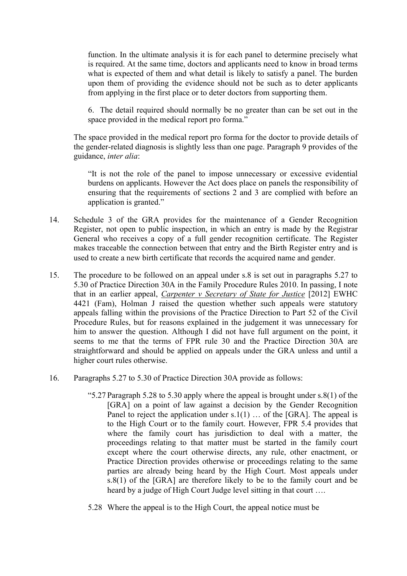function. In the ultimate analysis it is for each panel to determine precisely what is required. At the same time, doctors and applicants need to know in broad terms what is expected of them and what detail is likely to satisfy a panel. The burden upon them of providing the evidence should not be such as to deter applicants from applying in the first place or to deter doctors from supporting them.

6. The detail required should normally be no greater than can be set out in the space provided in the medical report pro forma."

The space provided in the medical report pro forma for the doctor to provide details of the gender-related diagnosis is slightly less than one page. Paragraph 9 provides of the guidance, *inter alia*:

"It is not the role of the panel to impose unnecessary or excessive evidential burdens on applicants. However the Act does place on panels the responsibility of ensuring that the requirements of sections 2 and 3 are complied with before an application is granted."

- 14. Schedule 3 of the GRA provides for the maintenance of a Gender Recognition Register, not open to public inspection, in which an entry is made by the Registrar General who receives a copy of a full gender recognition certificate. The Register makes traceable the connection between that entry and the Birth Register entry and is used to create a new birth certificate that records the acquired name and gender.
- 15. The procedure to be followed on an appeal under s.8 is set out in paragraphs 5.27 to 5.30 of Practice Direction 30A in the Family Procedure Rules 2010. In passing, I note that in an earlier appeal, *Carpenter v Secretary of State for Justice* [2012] EWHC 4421 (Fam), Holman J raised the question whether such appeals were statutory appeals falling within the provisions of the Practice Direction to Part 52 of the Civil Procedure Rules, but for reasons explained in the judgement it was unnecessary for him to answer the question. Although I did not have full argument on the point, it seems to me that the terms of FPR rule 30 and the Practice Direction 30A are straightforward and should be applied on appeals under the GRA unless and until a higher court rules otherwise.
- 16. Paragraphs 5.27 to 5.30 of Practice Direction 30A provide as follows:
	- "5.27 Paragraph 5.28 to 5.30 apply where the appeal is brought under  $s.8(1)$  of the [GRA] on a point of law against a decision by the Gender Recognition Panel to reject the application under  $s.1(1)$  ... of the [GRA]. The appeal is to the High Court or to the family court. However, FPR 5.4 provides that where the family court has jurisdiction to deal with a matter, the proceedings relating to that matter must be started in the family court except where the court otherwise directs, any rule, other enactment, or Practice Direction provides otherwise or proceedings relating to the same parties are already being heard by the High Court. Most appeals under s.8(1) of the [GRA] are therefore likely to be to the family court and be heard by a judge of High Court Judge level sitting in that court ….
	- 5.28 Where the appeal is to the High Court, the appeal notice must be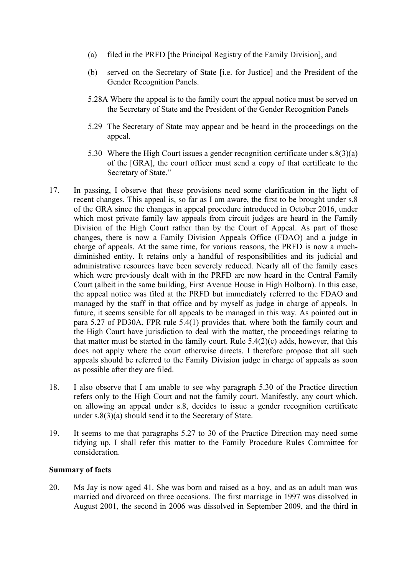- (a) filed in the PRFD [the Principal Registry of the Family Division], and
- (b) served on the Secretary of State [i.e. for Justice] and the President of the Gender Recognition Panels.
- 5.28A Where the appeal is to the family court the appeal notice must be served on the Secretary of State and the President of the Gender Recognition Panels
- 5.29 The Secretary of State may appear and be heard in the proceedings on the appeal.
- 5.30 Where the High Court issues a gender recognition certificate under s.8(3)(a) of the [GRA], the court officer must send a copy of that certificate to the Secretary of State."
- 17. In passing, I observe that these provisions need some clarification in the light of recent changes. This appeal is, so far as I am aware, the first to be brought under s.8 of the GRA since the changes in appeal procedure introduced in October 2016, under which most private family law appeals from circuit judges are heard in the Family Division of the High Court rather than by the Court of Appeal. As part of those changes, there is now a Family Division Appeals Office (FDAO) and a judge in charge of appeals. At the same time, for various reasons, the PRFD is now a muchdiminished entity. It retains only a handful of responsibilities and its judicial and administrative resources have been severely reduced. Nearly all of the family cases which were previously dealt with in the PRFD are now heard in the Central Family Court (albeit in the same building, First Avenue House in High Holborn). In this case, the appeal notice was filed at the PRFD but immediately referred to the FDAO and managed by the staff in that office and by myself as judge in charge of appeals. In future, it seems sensible for all appeals to be managed in this way. As pointed out in para 5.27 of PD30A, FPR rule 5.4(1) provides that, where both the family court and the High Court have jurisdiction to deal with the matter, the proceedings relating to that matter must be started in the family court. Rule  $5.4(2)(c)$  adds, however, that this does not apply where the court otherwise directs. I therefore propose that all such appeals should be referred to the Family Division judge in charge of appeals as soon as possible after they are filed.
- 18. I also observe that I am unable to see why paragraph 5.30 of the Practice direction refers only to the High Court and not the family court. Manifestly, any court which, on allowing an appeal under s.8, decides to issue a gender recognition certificate under s.8(3)(a) should send it to the Secretary of State.
- 19. It seems to me that paragraphs 5.27 to 30 of the Practice Direction may need some tidying up. I shall refer this matter to the Family Procedure Rules Committee for consideration.

### **Summary of facts**

20. Ms Jay is now aged 41. She was born and raised as a boy, and as an adult man was married and divorced on three occasions. The first marriage in 1997 was dissolved in August 2001, the second in 2006 was dissolved in September 2009, and the third in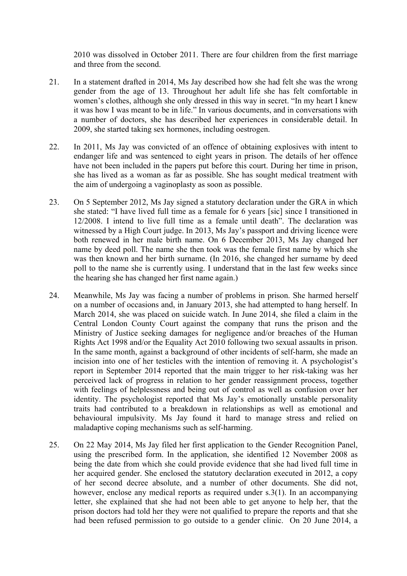2010 was dissolved in October 2011. There are four children from the first marriage and three from the second.

- 21. In a statement drafted in 2014, Ms Jay described how she had felt she was the wrong gender from the age of 13. Throughout her adult life she has felt comfortable in women's clothes, although she only dressed in this way in secret. "In my heart I knew it was how I was meant to be in life." In various documents, and in conversations with a number of doctors, she has described her experiences in considerable detail. In 2009, she started taking sex hormones, including oestrogen.
- 22. In 2011, Ms Jay was convicted of an offence of obtaining explosives with intent to endanger life and was sentenced to eight years in prison. The details of her offence have not been included in the papers put before this court. During her time in prison, she has lived as a woman as far as possible. She has sought medical treatment with the aim of undergoing a vaginoplasty as soon as possible.
- 23. On 5 September 2012, Ms Jay signed a statutory declaration under the GRA in which she stated: "I have lived full time as a female for 6 years [sic] since I transitioned in 12/2008. I intend to live full time as a female until death". The declaration was witnessed by a High Court judge. In 2013, Ms Jay's passport and driving licence were both renewed in her male birth name. On 6 December 2013, Ms Jay changed her name by deed poll. The name she then took was the female first name by which she was then known and her birth surname. (In 2016, she changed her surname by deed poll to the name she is currently using. I understand that in the last few weeks since the hearing she has changed her first name again.)
- 24. Meanwhile, Ms Jay was facing a number of problems in prison. She harmed herself on a number of occasions and, in January 2013, she had attempted to hang herself. In March 2014, she was placed on suicide watch. In June 2014, she filed a claim in the Central London County Court against the company that runs the prison and the Ministry of Justice seeking damages for negligence and/or breaches of the Human Rights Act 1998 and/or the Equality Act 2010 following two sexual assaults in prison. In the same month, against a background of other incidents of self-harm, she made an incision into one of her testicles with the intention of removing it. A psychologist's report in September 2014 reported that the main trigger to her risk-taking was her perceived lack of progress in relation to her gender reassignment process, together with feelings of helplessness and being out of control as well as confusion over her identity. The psychologist reported that Ms Jay's emotionally unstable personality traits had contributed to a breakdown in relationships as well as emotional and behavioural impulsivity. Ms Jay found it hard to manage stress and relied on maladaptive coping mechanisms such as self-harming.
- 25. On 22 May 2014, Ms Jay filed her first application to the Gender Recognition Panel, using the prescribed form. In the application, she identified 12 November 2008 as being the date from which she could provide evidence that she had lived full time in her acquired gender. She enclosed the statutory declaration executed in 2012, a copy of her second decree absolute, and a number of other documents. She did not, however, enclose any medical reports as required under s.3(1). In an accompanying letter, she explained that she had not been able to get anyone to help her, that the prison doctors had told her they were not qualified to prepare the reports and that she had been refused permission to go outside to a gender clinic. On 20 June 2014, a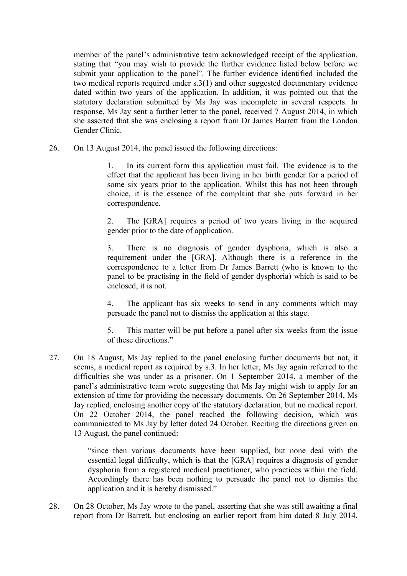member of the panel's administrative team acknowledged receipt of the application, stating that "you may wish to provide the further evidence listed below before we submit your application to the panel". The further evidence identified included the two medical reports required under s.3(1) and other suggested documentary evidence dated within two years of the application. In addition, it was pointed out that the statutory declaration submitted by Ms Jay was incomplete in several respects. In response, Ms Jay sent a further letter to the panel, received 7 August 2014, in which she asserted that she was enclosing a report from Dr James Barrett from the London Gender Clinic.

26. On 13 August 2014, the panel issued the following directions:

1. In its current form this application must fail. The evidence is to the effect that the applicant has been living in her birth gender for a period of some six years prior to the application. Whilst this has not been through choice, it is the essence of the complaint that she puts forward in her correspondence.

2. The [GRA] requires a period of two years living in the acquired gender prior to the date of application.

3. There is no diagnosis of gender dysphoria, which is also a requirement under the [GRA]. Although there is a reference in the correspondence to a letter from Dr James Barrett (who is known to the panel to be practising in the field of gender dysphoria) which is said to be enclosed, it is not.

4. The applicant has six weeks to send in any comments which may persuade the panel not to dismiss the application at this stage.

5. This matter will be put before a panel after six weeks from the issue of these directions."

27. On 18 August, Ms Jay replied to the panel enclosing further documents but not, it seems, a medical report as required by s.3. In her letter, Ms Jay again referred to the difficulties she was under as a prisoner. On 1 September 2014, a member of the panel's administrative team wrote suggesting that Ms Jay might wish to apply for an extension of time for providing the necessary documents. On 26 September 2014, Ms Jay replied, enclosing another copy of the statutory declaration, but no medical report. On 22 October 2014, the panel reached the following decision, which was communicated to Ms Jay by letter dated 24 October. Reciting the directions given on 13 August, the panel continued:

> "since then various documents have been supplied, but none deal with the essential legal difficulty, which is that the [GRA] requires a diagnosis of gender dysphoria from a registered medical practitioner, who practices within the field. Accordingly there has been nothing to persuade the panel not to dismiss the application and it is hereby dismissed."

28. On 28 October, Ms Jay wrote to the panel, asserting that she was still awaiting a final report from Dr Barrett, but enclosing an earlier report from him dated 8 July 2014,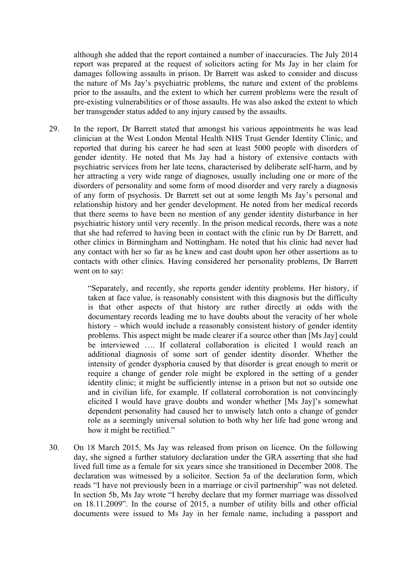although she added that the report contained a number of inaccuracies. The July 2014 report was prepared at the request of solicitors acting for Ms Jay in her claim for damages following assaults in prison. Dr Barrett was asked to consider and discuss the nature of Ms Jay's psychiatric problems, the nature and extent of the problems prior to the assaults, and the extent to which her current problems were the result of pre-existing vulnerabilities or of those assaults. He was also asked the extent to which her transgender status added to any injury caused by the assaults.

29. In the report, Dr Barrett stated that amongst his various appointments he was lead clinician at the West London Mental Health NHS Trust Gender Identity Clinic, and reported that during his career he had seen at least 5000 people with disorders of gender identity. He noted that Ms Jay had a history of extensive contacts with psychiatric services from her late teens, characterised by deliberate self-harm, and by her attracting a very wide range of diagnoses, usually including one or more of the disorders of personality and some form of mood disorder and very rarely a diagnosis of any form of psychosis. Dr Barrett set out at some length Ms Jay's personal and relationship history and her gender development. He noted from her medical records that there seems to have been no mention of any gender identity disturbance in her psychiatric history until very recently. In the prison medical records, there was a note that she had referred to having been in contact with the clinic run by Dr Barrett, and other clinics in Birmingham and Nottingham. He noted that his clinic had never had any contact with her so far as he knew and cast doubt upon her other assertions as to contacts with other clinics. Having considered her personality problems, Dr Barrett went on to say:

> "Separately, and recently, she reports gender identity problems. Her history, if taken at face value, is reasonably consistent with this diagnosis but the difficulty is that other aspects of that history are rather directly at odds with the documentary records leading me to have doubts about the veracity of her whole history – which would include a reasonably consistent history of gender identity problems. This aspect might be made clearer if a source other than [Ms Jay] could be interviewed …. If collateral collaboration is elicited I would reach an additional diagnosis of some sort of gender identity disorder. Whether the intensity of gender dysphoria caused by that disorder is great enough to merit or require a change of gender role might be explored in the setting of a gender identity clinic; it might be sufficiently intense in a prison but not so outside one and in civilian life, for example. If collateral corroboration is not convincingly elicited I would have grave doubts and wonder whether [Ms Jay]'s somewhat dependent personality had caused her to unwisely latch onto a change of gender role as a seemingly universal solution to both why her life had gone wrong and how it might be rectified."

30. On 18 March 2015, Ms Jay was released from prison on licence. On the following day, she signed a further statutory declaration under the GRA asserting that she had lived full time as a female for six years since she transitioned in December 2008. The declaration was witnessed by a solicitor. Section 5a of the declaration form, which reads "I have not previously been in a marriage or civil partnership" was not deleted. In section 5b, Ms Jay wrote "I hereby declare that my former marriage was dissolved on 18.11.2009". In the course of 2015, a number of utility bills and other official documents were issued to Ms Jay in her female name, including a passport and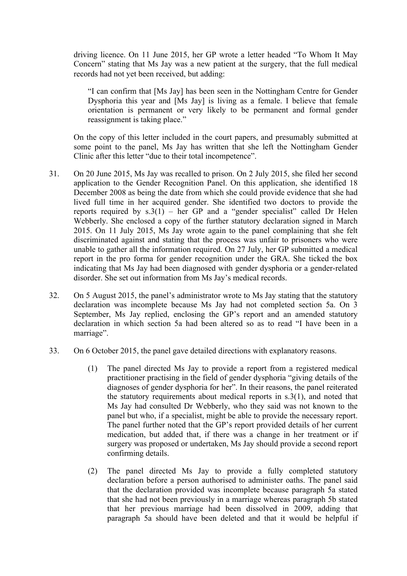driving licence. On 11 June 2015, her GP wrote a letter headed "To Whom It May Concern" stating that Ms Jay was a new patient at the surgery, that the full medical records had not yet been received, but adding:

"I can confirm that [Ms Jay] has been seen in the Nottingham Centre for Gender Dysphoria this year and [Ms Jay] is living as a female. I believe that female orientation is permanent or very likely to be permanent and formal gender reassignment is taking place."

On the copy of this letter included in the court papers, and presumably submitted at some point to the panel, Ms Jay has written that she left the Nottingham Gender Clinic after this letter "due to their total incompetence".

- 31. On 20 June 2015, Ms Jay was recalled to prison. On 2 July 2015, she filed her second application to the Gender Recognition Panel. On this application, she identified 18 December 2008 as being the date from which she could provide evidence that she had lived full time in her acquired gender. She identified two doctors to provide the reports required by  $s.3(1)$  – her GP and a "gender specialist" called Dr Helen Webberly. She enclosed a copy of the further statutory declaration signed in March 2015. On 11 July 2015, Ms Jay wrote again to the panel complaining that she felt discriminated against and stating that the process was unfair to prisoners who were unable to gather all the information required. On 27 July, her GP submitted a medical report in the pro forma for gender recognition under the GRA. She ticked the box indicating that Ms Jay had been diagnosed with gender dysphoria or a gender-related disorder. She set out information from Ms Jay's medical records.
- 32. On 5 August 2015, the panel's administrator wrote to Ms Jay stating that the statutory declaration was incomplete because Ms Jay had not completed section 5a. On 3 September, Ms Jay replied, enclosing the GP's report and an amended statutory declaration in which section 5a had been altered so as to read "I have been in a marriage".
- 33. On 6 October 2015, the panel gave detailed directions with explanatory reasons.
	- (1) The panel directed Ms Jay to provide a report from a registered medical practitioner practising in the field of gender dysphoria "giving details of the diagnoses of gender dysphoria for her". In their reasons, the panel reiterated the statutory requirements about medical reports in s.3(1), and noted that Ms Jay had consulted Dr Webberly, who they said was not known to the panel but who, if a specialist, might be able to provide the necessary report. The panel further noted that the GP's report provided details of her current medication, but added that, if there was a change in her treatment or if surgery was proposed or undertaken, Ms Jay should provide a second report confirming details.
	- (2) The panel directed Ms Jay to provide a fully completed statutory declaration before a person authorised to administer oaths. The panel said that the declaration provided was incomplete because paragraph 5a stated that she had not been previously in a marriage whereas paragraph 5b stated that her previous marriage had been dissolved in 2009, adding that paragraph 5a should have been deleted and that it would be helpful if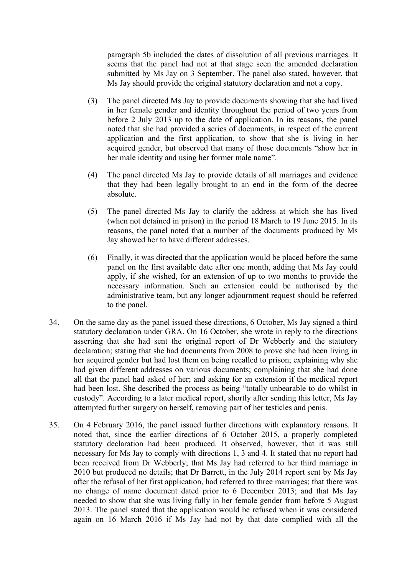paragraph 5b included the dates of dissolution of all previous marriages. It seems that the panel had not at that stage seen the amended declaration submitted by Ms Jay on 3 September. The panel also stated, however, that Ms Jay should provide the original statutory declaration and not a copy.

- (3) The panel directed Ms Jay to provide documents showing that she had lived in her female gender and identity throughout the period of two years from before 2 July 2013 up to the date of application. In its reasons, the panel noted that she had provided a series of documents, in respect of the current application and the first application, to show that she is living in her acquired gender, but observed that many of those documents "show her in her male identity and using her former male name".
- (4) The panel directed Ms Jay to provide details of all marriages and evidence that they had been legally brought to an end in the form of the decree absolute.
- (5) The panel directed Ms Jay to clarify the address at which she has lived (when not detained in prison) in the period 18 March to 19 June 2015. In its reasons, the panel noted that a number of the documents produced by Ms Jay showed her to have different addresses.
- (6) Finally, it was directed that the application would be placed before the same panel on the first available date after one month, adding that Ms Jay could apply, if she wished, for an extension of up to two months to provide the necessary information. Such an extension could be authorised by the administrative team, but any longer adjournment request should be referred to the panel.
- 34. On the same day as the panel issued these directions, 6 October, Ms Jay signed a third statutory declaration under GRA. On 16 October, she wrote in reply to the directions asserting that she had sent the original report of Dr Webberly and the statutory declaration; stating that she had documents from 2008 to prove she had been living in her acquired gender but had lost them on being recalled to prison; explaining why she had given different addresses on various documents; complaining that she had done all that the panel had asked of her; and asking for an extension if the medical report had been lost. She described the process as being "totally unbearable to do whilst in custody". According to a later medical report, shortly after sending this letter, Ms Jay attempted further surgery on herself, removing part of her testicles and penis.
- 35. On 4 February 2016, the panel issued further directions with explanatory reasons. It noted that, since the earlier directions of 6 October 2015, a properly completed statutory declaration had been produced. It observed, however, that it was still necessary for Ms Jay to comply with directions 1, 3 and 4. It stated that no report had been received from Dr Webberly; that Ms Jay had referred to her third marriage in 2010 but produced no details; that Dr Barrett, in the July 2014 report sent by Ms Jay after the refusal of her first application, had referred to three marriages; that there was no change of name document dated prior to 6 December 2013; and that Ms Jay needed to show that she was living fully in her female gender from before 5 August 2013. The panel stated that the application would be refused when it was considered again on 16 March 2016 if Ms Jay had not by that date complied with all the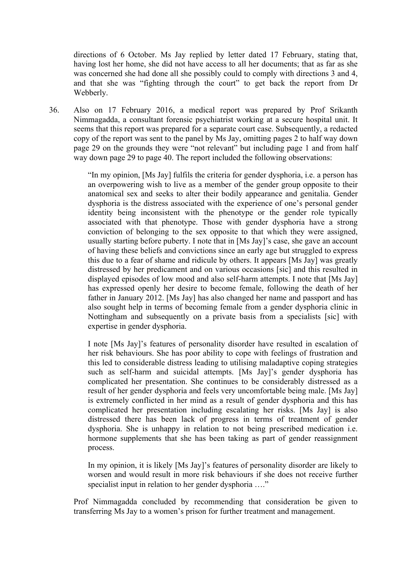directions of 6 October. Ms Jay replied by letter dated 17 February, stating that, having lost her home, she did not have access to all her documents; that as far as she was concerned she had done all she possibly could to comply with directions 3 and 4, and that she was "fighting through the court" to get back the report from Dr Webberly.

36. Also on 17 February 2016, a medical report was prepared by Prof Srikanth Nimmagadda, a consultant forensic psychiatrist working at a secure hospital unit. It seems that this report was prepared for a separate court case. Subsequently, a redacted copy of the report was sent to the panel by Ms Jay, omitting pages 2 to half way down page 29 on the grounds they were "not relevant" but including page 1 and from half way down page 29 to page 40. The report included the following observations:

> "In my opinion, [Ms Jay] fulfils the criteria for gender dysphoria, i.e. a person has an overpowering wish to live as a member of the gender group opposite to their anatomical sex and seeks to alter their bodily appearance and genitalia. Gender dysphoria is the distress associated with the experience of one's personal gender identity being inconsistent with the phenotype or the gender role typically associated with that phenotype. Those with gender dysphoria have a strong conviction of belonging to the sex opposite to that which they were assigned, usually starting before puberty. I note that in [Ms Jay]'s case, she gave an account of having these beliefs and convictions since an early age but struggled to express this due to a fear of shame and ridicule by others. It appears [Ms Jay] was greatly distressed by her predicament and on various occasions [sic] and this resulted in displayed episodes of low mood and also self-harm attempts. I note that [Ms Jay] has expressed openly her desire to become female, following the death of her father in January 2012. [Ms Jay] has also changed her name and passport and has also sought help in terms of becoming female from a gender dysphoria clinic in Nottingham and subsequently on a private basis from a specialists [sic] with expertise in gender dysphoria.

> I note [Ms Jay]'s features of personality disorder have resulted in escalation of her risk behaviours. She has poor ability to cope with feelings of frustration and this led to considerable distress leading to utilising maladaptive coping strategies such as self-harm and suicidal attempts. [Ms Jay]'s gender dysphoria has complicated her presentation. She continues to be considerably distressed as a result of her gender dysphoria and feels very uncomfortable being male. [Ms Jay] is extremely conflicted in her mind as a result of gender dysphoria and this has complicated her presentation including escalating her risks. [Ms Jay] is also distressed there has been lack of progress in terms of treatment of gender dysphoria. She is unhappy in relation to not being prescribed medication i.e. hormone supplements that she has been taking as part of gender reassignment process.

> In my opinion, it is likely [Ms Jay]'s features of personality disorder are likely to worsen and would result in more risk behaviours if she does not receive further specialist input in relation to her gender dysphoria ...."

Prof Nimmagadda concluded by recommending that consideration be given to transferring Ms Jay to a women's prison for further treatment and management.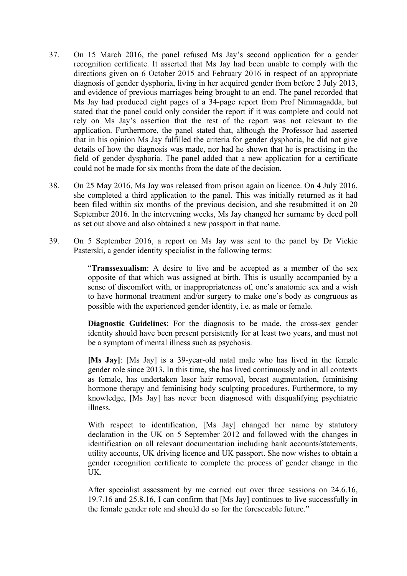- 37. On 15 March 2016, the panel refused Ms Jay's second application for a gender recognition certificate. It asserted that Ms Jay had been unable to comply with the directions given on 6 October 2015 and February 2016 in respect of an appropriate diagnosis of gender dysphoria, living in her acquired gender from before 2 July 2013, and evidence of previous marriages being brought to an end. The panel recorded that Ms Jay had produced eight pages of a 34-page report from Prof Nimmagadda, but stated that the panel could only consider the report if it was complete and could not rely on Ms Jay's assertion that the rest of the report was not relevant to the application. Furthermore, the panel stated that, although the Professor had asserted that in his opinion Ms Jay fulfilled the criteria for gender dysphoria, he did not give details of how the diagnosis was made, nor had he shown that he is practising in the field of gender dysphoria. The panel added that a new application for a certificate could not be made for six months from the date of the decision.
- 38. On 25 May 2016, Ms Jay was released from prison again on licence. On 4 July 2016, she completed a third application to the panel. This was initially returned as it had been filed within six months of the previous decision, and she resubmitted it on 20 September 2016. In the intervening weeks, Ms Jay changed her surname by deed poll as set out above and also obtained a new passport in that name.
- 39. On 5 September 2016, a report on Ms Jay was sent to the panel by Dr Vickie Pasterski, a gender identity specialist in the following terms:

"**Transsexualism**: A desire to live and be accepted as a member of the sex opposite of that which was assigned at birth. This is usually accompanied by a sense of discomfort with, or inappropriateness of, one's anatomic sex and a wish to have hormonal treatment and/or surgery to make one's body as congruous as possible with the experienced gender identity, i.e. as male or female.

**Diagnostic Guidelines**: For the diagnosis to be made, the cross-sex gender identity should have been present persistently for at least two years, and must not be a symptom of mental illness such as psychosis.

**[Ms Jay]**: [Ms Jay] is a 39-year-old natal male who has lived in the female gender role since 2013. In this time, she has lived continuously and in all contexts as female, has undertaken laser hair removal, breast augmentation, feminising hormone therapy and feminising body sculpting procedures. Furthermore, to my knowledge, [Ms Jay] has never been diagnosed with disqualifying psychiatric illness.

With respect to identification, [Ms Jay] changed her name by statutory declaration in the UK on 5 September 2012 and followed with the changes in identification on all relevant documentation including bank accounts/statements, utility accounts, UK driving licence and UK passport. She now wishes to obtain a gender recognition certificate to complete the process of gender change in the UK.

After specialist assessment by me carried out over three sessions on 24.6.16, 19.7.16 and 25.8.16, I can confirm that [Ms Jay] continues to live successfully in the female gender role and should do so for the foreseeable future."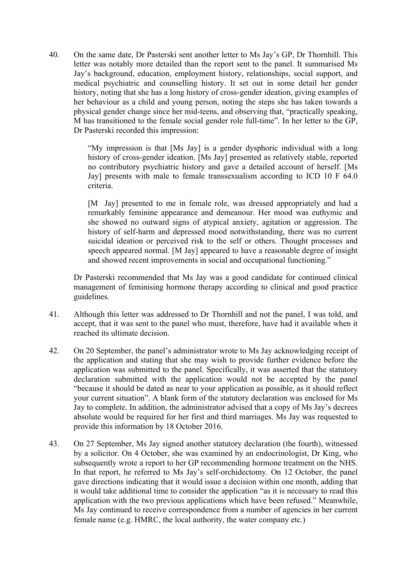40. On the same date, Dr Pasterski sent another letter to Ms Jay's GP, Dr Thornhill. This letter was notably more detailed than the report sent to the panel. It summarised Ms Jay's background, education, employment history, relationships, social support, and medical psychiatric and counselling history. It set out in some detail her gender history, noting that she has a long history of cross-gender ideation, giving examples of her behaviour as a child and young person, noting the steps she has taken towards a physical gender change since her mid-teens, and observing that, "practically speaking, M has transitioned to the female social gender role full-time". In her letter to the GP, Dr Pasterski recorded this impression:

> "My impression is that [Ms Jay] is a gender dysphoric individual with a long history of cross-gender ideation. [Ms Jay] presented as relatively stable, reported no contributory psychiatric history and gave a detailed account of herself. [Ms Jay] presents with male to female transsexualism according to ICD 10 F 64.0 criteria.

> [M Jay] presented to me in female role, was dressed appropriately and had a remarkably feminine appearance and demeanour. Her mood was euthymic and she showed no outward signs of atypical anxiety, agitation or aggression. The history of self-harm and depressed mood notwithstanding, there was no current suicidal ideation or perceived risk to the self or others. Thought processes and speech appeared normal. [M Jay] appeared to have a reasonable degree of insight and showed recent improvements in social and occupational functioning."

Dr Pasterski recommended that Ms Jay was a good candidate for continued clinical management of feminising hormone therapy according to clinical and good practice guidelines.

- 41. Although this letter was addressed to Dr Thornhill and not the panel, I was told, and accept, that it was sent to the panel who must, therefore, have had it available when it reached its ultimate decision.
- 42. On 20 September, the panel's administrator wrote to Ms Jay acknowledging receipt of the application and stating that she may wish to provide further evidence before the application was submitted to the panel. Specifically, it was asserted that the statutory declaration submitted with the application would not be accepted by the panel "because it should be dated as near to your application as possible, as it should reflect your current situation". A blank form of the statutory declaration was enclosed for Ms Jay to complete. In addition, the administrator advised that a copy of Ms Jay's decrees absolute would be required for her first and third marriages. Ms Jay was requested to provide this information by 18 October 2016.
- 43. On 27 September, Ms Jay signed another statutory declaration (the fourth), witnessed by a solicitor. On 4 October, she was examined by an endocrinologist, Dr King, who subsequently wrote a report to her GP recommending hormone treatment on the NHS. In that report, he referred to Ms Jay's self-orchidectomy. On 12 October, the panel gave directions indicating that it would issue a decision within one month, adding that it would take additional time to consider the application "as it is necessary to read this application with the two previous applications which have been refused." Meanwhile, Ms Jay continued to receive correspondence from a number of agencies in her current female name (e.g. HMRC, the local authority, the water company etc.)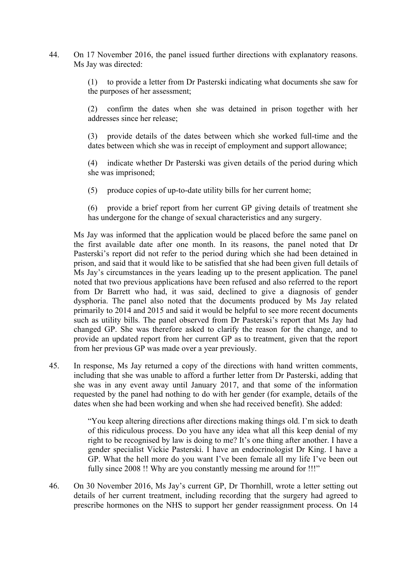44. On 17 November 2016, the panel issued further directions with explanatory reasons. Ms Jay was directed:

> (1) to provide a letter from Dr Pasterski indicating what documents she saw for the purposes of her assessment;

> (2) confirm the dates when she was detained in prison together with her addresses since her release;

> (3) provide details of the dates between which she worked full-time and the dates between which she was in receipt of employment and support allowance;

> (4) indicate whether Dr Pasterski was given details of the period during which she was imprisoned;

- (5) produce copies of up-to-date utility bills for her current home;
- (6) provide a brief report from her current GP giving details of treatment she has undergone for the change of sexual characteristics and any surgery.

Ms Jay was informed that the application would be placed before the same panel on the first available date after one month. In its reasons, the panel noted that Dr Pasterski's report did not refer to the period during which she had been detained in prison, and said that it would like to be satisfied that she had been given full details of Ms Jay's circumstances in the years leading up to the present application. The panel noted that two previous applications have been refused and also referred to the report from Dr Barrett who had, it was said, declined to give a diagnosis of gender dysphoria. The panel also noted that the documents produced by Ms Jay related primarily to 2014 and 2015 and said it would be helpful to see more recent documents such as utility bills. The panel observed from Dr Pasterski's report that Ms Jay had changed GP. She was therefore asked to clarify the reason for the change, and to provide an updated report from her current GP as to treatment, given that the report from her previous GP was made over a year previously.

45. In response, Ms Jay returned a copy of the directions with hand written comments, including that she was unable to afford a further letter from Dr Pasterski, adding that she was in any event away until January 2017, and that some of the information requested by the panel had nothing to do with her gender (for example, details of the dates when she had been working and when she had received benefit). She added:

> "You keep altering directions after directions making things old. I'm sick to death of this ridiculous process. Do you have any idea what all this keep denial of my right to be recognised by law is doing to me? It's one thing after another. I have a gender specialist Vickie Pasterski. I have an endocrinologist Dr King. I have a GP. What the hell more do you want I've been female all my life I've been out fully since 2008 !! Why are you constantly messing me around for !!!"

46. On 30 November 2016, Ms Jay's current GP, Dr Thornhill, wrote a letter setting out details of her current treatment, including recording that the surgery had agreed to prescribe hormones on the NHS to support her gender reassignment process. On 14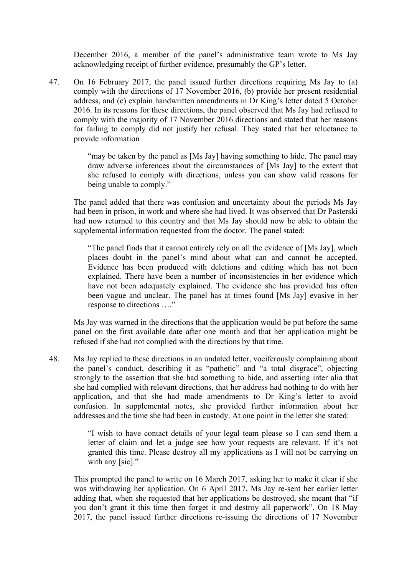December 2016, a member of the panel's administrative team wrote to Ms Jay acknowledging receipt of further evidence, presumably the GP's letter.

47. On 16 February 2017, the panel issued further directions requiring Ms Jay to (a) comply with the directions of 17 November 2016, (b) provide her present residential address, and (c) explain handwritten amendments in Dr King's letter dated 5 October 2016. In its reasons for these directions, the panel observed that Ms Jay had refused to comply with the majority of 17 November 2016 directions and stated that her reasons for failing to comply did not justify her refusal. They stated that her reluctance to provide information

> "may be taken by the panel as [Ms Jay] having something to hide. The panel may draw adverse inferences about the circumstances of [Ms Jay] to the extent that she refused to comply with directions, unless you can show valid reasons for being unable to comply."

The panel added that there was confusion and uncertainty about the periods Ms Jay had been in prison, in work and where she had lived. It was observed that Dr Pasterski had now returned to this country and that Ms Jay should now be able to obtain the supplemental information requested from the doctor. The panel stated:

"The panel finds that it cannot entirely rely on all the evidence of [Ms Jay], which places doubt in the panel's mind about what can and cannot be accepted. Evidence has been produced with deletions and editing which has not been explained. There have been a number of inconsistencies in her evidence which have not been adequately explained. The evidence she has provided has often been vague and unclear. The panel has at times found [Ms Jay] evasive in her response to directions …."

Ms Jay was warned in the directions that the application would be put before the same panel on the first available date after one month and that her application might be refused if she had not complied with the directions by that time.

48. Ms Jay replied to these directions in an undated letter, vociferously complaining about the panel's conduct, describing it as "pathetic" and "a total disgrace", objecting strongly to the assertion that she had something to hide, and asserting inter alia that she had complied with relevant directions, that her address had nothing to do with her application, and that she had made amendments to Dr King's letter to avoid confusion. In supplemental notes, she provided further information about her addresses and the time she had been in custody. At one point in the letter she stated:

> "I wish to have contact details of your legal team please so I can send them a letter of claim and let a judge see how your requests are relevant. If it's not granted this time. Please destroy all my applications as I will not be carrying on with any [sic]."

This prompted the panel to write on 16 March 2017, asking her to make it clear if she was withdrawing her application. On 6 April 2017, Ms Jay re-sent her earlier letter adding that, when she requested that her applications be destroyed, she meant that "if you don't grant it this time then forget it and destroy all paperwork". On 18 May 2017, the panel issued further directions re-issuing the directions of 17 November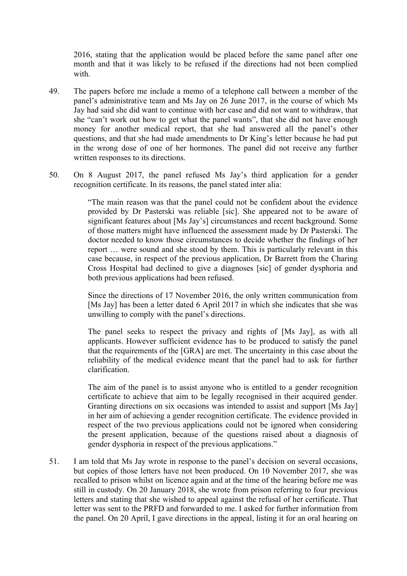2016, stating that the application would be placed before the same panel after one month and that it was likely to be refused if the directions had not been complied with.

- 49. The papers before me include a memo of a telephone call between a member of the panel's administrative team and Ms Jay on 26 June 2017, in the course of which Ms Jay had said she did want to continue with her case and did not want to withdraw, that she "can't work out how to get what the panel wants", that she did not have enough money for another medical report, that she had answered all the panel's other questions, and that she had made amendments to Dr King's letter because he had put in the wrong dose of one of her hormones. The panel did not receive any further written responses to its directions.
- 50. On 8 August 2017, the panel refused Ms Jay's third application for a gender recognition certificate. In its reasons, the panel stated inter alia:

"The main reason was that the panel could not be confident about the evidence provided by Dr Pasterski was reliable [sic]. She appeared not to be aware of significant features about [Ms Jay's] circumstances and recent background. Some of those matters might have influenced the assessment made by Dr Pasterski. The doctor needed to know those circumstances to decide whether the findings of her report … were sound and she stood by them. This is particularly relevant in this case because, in respect of the previous application, Dr Barrett from the Charing Cross Hospital had declined to give a diagnoses [sic] of gender dysphoria and both previous applications had been refused.

Since the directions of 17 November 2016, the only written communication from [Ms Jay] has been a letter dated 6 April 2017 in which she indicates that she was unwilling to comply with the panel's directions.

The panel seeks to respect the privacy and rights of [Ms Jay], as with all applicants. However sufficient evidence has to be produced to satisfy the panel that the requirements of the [GRA] are met. The uncertainty in this case about the reliability of the medical evidence meant that the panel had to ask for further clarification.

The aim of the panel is to assist anyone who is entitled to a gender recognition certificate to achieve that aim to be legally recognised in their acquired gender. Granting directions on six occasions was intended to assist and support [Ms Jay] in her aim of achieving a gender recognition certificate. The evidence provided in respect of the two previous applications could not be ignored when considering the present application, because of the questions raised about a diagnosis of gender dysphoria in respect of the previous applications."

51. I am told that Ms Jay wrote in response to the panel's decision on several occasions, but copies of those letters have not been produced. On 10 November 2017, she was recalled to prison whilst on licence again and at the time of the hearing before me was still in custody. On 20 January 2018, she wrote from prison referring to four previous letters and stating that she wished to appeal against the refusal of her certificate. That letter was sent to the PRFD and forwarded to me. I asked for further information from the panel. On 20 April, I gave directions in the appeal, listing it for an oral hearing on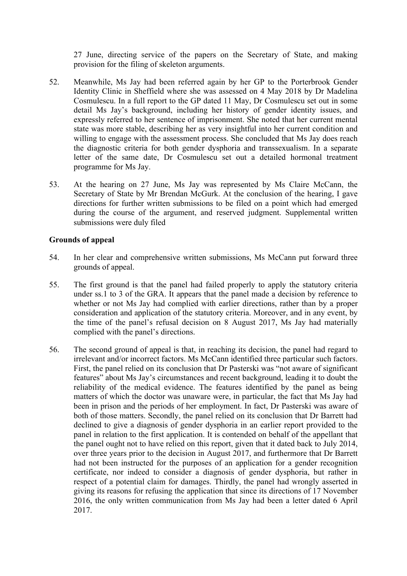27 June, directing service of the papers on the Secretary of State, and making provision for the filing of skeleton arguments.

- 52. Meanwhile, Ms Jay had been referred again by her GP to the Porterbrook Gender Identity Clinic in Sheffield where she was assessed on 4 May 2018 by Dr Madelina Cosmulescu. In a full report to the GP dated 11 May, Dr Cosmulescu set out in some detail Ms Jay's background, including her history of gender identity issues, and expressly referred to her sentence of imprisonment. She noted that her current mental state was more stable, describing her as very insightful into her current condition and willing to engage with the assessment process. She concluded that Ms Jay does reach the diagnostic criteria for both gender dysphoria and transsexualism. In a separate letter of the same date, Dr Cosmulescu set out a detailed hormonal treatment programme for Ms Jay.
- 53. At the hearing on 27 June, Ms Jay was represented by Ms Claire McCann, the Secretary of State by Mr Brendan McGurk. At the conclusion of the hearing, I gave directions for further written submissions to be filed on a point which had emerged during the course of the argument, and reserved judgment. Supplemental written submissions were duly filed

## **Grounds of appeal**

- 54. In her clear and comprehensive written submissions, Ms McCann put forward three grounds of appeal.
- 55. The first ground is that the panel had failed properly to apply the statutory criteria under ss.1 to 3 of the GRA. It appears that the panel made a decision by reference to whether or not Ms Jay had complied with earlier directions, rather than by a proper consideration and application of the statutory criteria. Moreover, and in any event, by the time of the panel's refusal decision on 8 August 2017, Ms Jay had materially complied with the panel's directions.
- 56. The second ground of appeal is that, in reaching its decision, the panel had regard to irrelevant and/or incorrect factors. Ms McCann identified three particular such factors. First, the panel relied on its conclusion that Dr Pasterski was "not aware of significant features" about Ms Jay's circumstances and recent background, leading it to doubt the reliability of the medical evidence. The features identified by the panel as being matters of which the doctor was unaware were, in particular, the fact that Ms Jay had been in prison and the periods of her employment. In fact, Dr Pasterski was aware of both of those matters. Secondly, the panel relied on its conclusion that Dr Barrett had declined to give a diagnosis of gender dysphoria in an earlier report provided to the panel in relation to the first application. It is contended on behalf of the appellant that the panel ought not to have relied on this report, given that it dated back to July 2014, over three years prior to the decision in August 2017, and furthermore that Dr Barrett had not been instructed for the purposes of an application for a gender recognition certificate, nor indeed to consider a diagnosis of gender dysphoria, but rather in respect of a potential claim for damages. Thirdly, the panel had wrongly asserted in giving its reasons for refusing the application that since its directions of 17 November 2016, the only written communication from Ms Jay had been a letter dated 6 April 2017.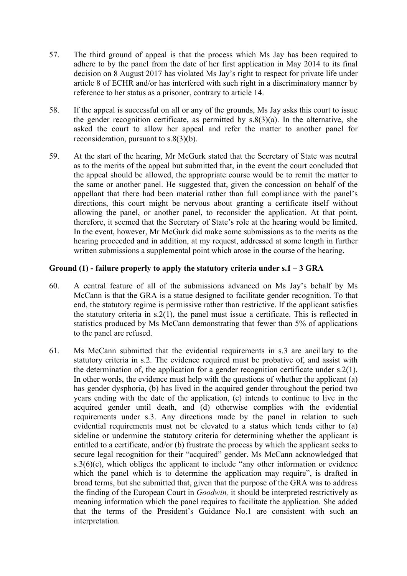- 57. The third ground of appeal is that the process which Ms Jay has been required to adhere to by the panel from the date of her first application in May 2014 to its final decision on 8 August 2017 has violated Ms Jay's right to respect for private life under article 8 of ECHR and/or has interfered with such right in a discriminatory manner by reference to her status as a prisoner, contrary to article 14.
- 58. If the appeal is successful on all or any of the grounds, Ms Jay asks this court to issue the gender recognition certificate, as permitted by  $s.\frac{8(3)}{a}$ . In the alternative, she asked the court to allow her appeal and refer the matter to another panel for reconsideration, pursuant to s.8(3)(b).
- 59. At the start of the hearing, Mr McGurk stated that the Secretary of State was neutral as to the merits of the appeal but submitted that, in the event the court concluded that the appeal should be allowed, the appropriate course would be to remit the matter to the same or another panel. He suggested that, given the concession on behalf of the appellant that there had been material rather than full compliance with the panel's directions, this court might be nervous about granting a certificate itself without allowing the panel, or another panel, to reconsider the application. At that point, therefore, it seemed that the Secretary of State's role at the hearing would be limited. In the event, however, Mr McGurk did make some submissions as to the merits as the hearing proceeded and in addition, at my request, addressed at some length in further written submissions a supplemental point which arose in the course of the hearing.

# **Ground (1) - failure properly to apply the statutory criteria under s.1 – 3 GRA**

- 60. A central feature of all of the submissions advanced on Ms Jay's behalf by Ms McCann is that the GRA is a statue designed to facilitate gender recognition. To that end, the statutory regime is permissive rather than restrictive. If the applicant satisfies the statutory criteria in s.2(1), the panel must issue a certificate. This is reflected in statistics produced by Ms McCann demonstrating that fewer than 5% of applications to the panel are refused.
- 61. Ms McCann submitted that the evidential requirements in s.3 are ancillary to the statutory criteria in s.2. The evidence required must be probative of, and assist with the determination of, the application for a gender recognition certificate under s.2(1). In other words, the evidence must help with the questions of whether the applicant (a) has gender dysphoria, (b) has lived in the acquired gender throughout the period two years ending with the date of the application, (c) intends to continue to live in the acquired gender until death, and (d) otherwise complies with the evidential requirements under s.3. Any directions made by the panel in relation to such evidential requirements must not be elevated to a status which tends either to (a) sideline or undermine the statutory criteria for determining whether the applicant is entitled to a certificate, and/or (b) frustrate the process by which the applicant seeks to secure legal recognition for their "acquired" gender. Ms McCann acknowledged that  $s.3(6)(c)$ , which obliges the applicant to include "any other information or evidence which the panel which is to determine the application may require", is drafted in broad terms, but she submitted that, given that the purpose of the GRA was to address the finding of the European Court in *Goodwin,* it should be interpreted restrictively as meaning information which the panel requires to facilitate the application. She added that the terms of the President's Guidance No.1 are consistent with such an interpretation.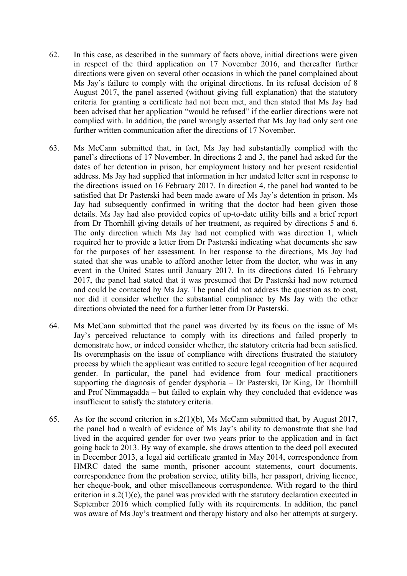- 62. In this case, as described in the summary of facts above, initial directions were given in respect of the third application on 17 November 2016, and thereafter further directions were given on several other occasions in which the panel complained about Ms Jay's failure to comply with the original directions. In its refusal decision of 8 August 2017, the panel asserted (without giving full explanation) that the statutory criteria for granting a certificate had not been met, and then stated that Ms Jay had been advised that her application "would be refused" if the earlier directions were not complied with. In addition, the panel wrongly asserted that Ms Jay had only sent one further written communication after the directions of 17 November.
- 63. Ms McCann submitted that, in fact, Ms Jay had substantially complied with the panel's directions of 17 November. In directions 2 and 3, the panel had asked for the dates of her detention in prison, her employment history and her present residential address. Ms Jay had supplied that information in her undated letter sent in response to the directions issued on 16 February 2017. In direction 4, the panel had wanted to be satisfied that Dr Pasterski had been made aware of Ms Jay's detention in prison. Ms Jay had subsequently confirmed in writing that the doctor had been given those details. Ms Jay had also provided copies of up-to-date utility bills and a brief report from Dr Thornhill giving details of her treatment, as required by directions 5 and 6. The only direction which Ms Jay had not complied with was direction 1, which required her to provide a letter from Dr Pasterski indicating what documents she saw for the purposes of her assessment. In her response to the directions, Ms Jay had stated that she was unable to afford another letter from the doctor, who was in any event in the United States until January 2017. In its directions dated 16 February 2017, the panel had stated that it was presumed that Dr Pasterski had now returned and could be contacted by Ms Jay. The panel did not address the question as to cost, nor did it consider whether the substantial compliance by Ms Jay with the other directions obviated the need for a further letter from Dr Pasterski.
- 64. Ms McCann submitted that the panel was diverted by its focus on the issue of Ms Jay's perceived reluctance to comply with its directions and failed properly to demonstrate how, or indeed consider whether, the statutory criteria had been satisfied. Its overemphasis on the issue of compliance with directions frustrated the statutory process by which the applicant was entitled to secure legal recognition of her acquired gender. In particular, the panel had evidence from four medical practitioners supporting the diagnosis of gender dysphoria – Dr Pasterski, Dr King, Dr Thornhill and Prof Nimmagadda – but failed to explain why they concluded that evidence was insufficient to satisfy the statutory criteria.
- 65. As for the second criterion in s.2(1)(b), Ms McCann submitted that, by August 2017, the panel had a wealth of evidence of Ms Jay's ability to demonstrate that she had lived in the acquired gender for over two years prior to the application and in fact going back to 2013. By way of example, she draws attention to the deed poll executed in December 2013, a legal aid certificate granted in May 2014, correspondence from HMRC dated the same month, prisoner account statements, court documents, correspondence from the probation service, utility bills, her passport, driving licence, her cheque-book, and other miscellaneous correspondence. With regard to the third criterion in  $s \cdot 2(1)(c)$ , the panel was provided with the statutory declaration executed in September 2016 which complied fully with its requirements. In addition, the panel was aware of Ms Jay's treatment and therapy history and also her attempts at surgery,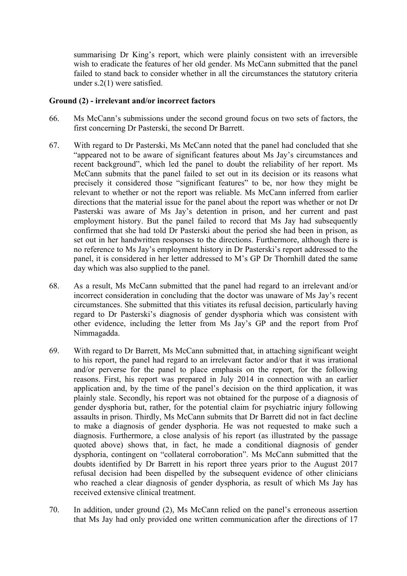summarising Dr King's report, which were plainly consistent with an irreversible wish to eradicate the features of her old gender. Ms McCann submitted that the panel failed to stand back to consider whether in all the circumstances the statutory criteria under s.2(1) were satisfied.

### **Ground (2) - irrelevant and/or incorrect factors**

- 66. Ms McCann's submissions under the second ground focus on two sets of factors, the first concerning Dr Pasterski, the second Dr Barrett.
- 67. With regard to Dr Pasterski, Ms McCann noted that the panel had concluded that she "appeared not to be aware of significant features about Ms Jay's circumstances and recent background", which led the panel to doubt the reliability of her report. Ms McCann submits that the panel failed to set out in its decision or its reasons what precisely it considered those "significant features" to be, nor how they might be relevant to whether or not the report was reliable. Ms McCann inferred from earlier directions that the material issue for the panel about the report was whether or not Dr Pasterski was aware of Ms Jay's detention in prison, and her current and past employment history. But the panel failed to record that Ms Jay had subsequently confirmed that she had told Dr Pasterski about the period she had been in prison, as set out in her handwritten responses to the directions. Furthermore, although there is no reference to Ms Jay's employment history in Dr Pasterski's report addressed to the panel, it is considered in her letter addressed to M's GP Dr Thornhill dated the same day which was also supplied to the panel.
- 68. As a result, Ms McCann submitted that the panel had regard to an irrelevant and/or incorrect consideration in concluding that the doctor was unaware of Ms Jay's recent circumstances. She submitted that this vitiates its refusal decision, particularly having regard to Dr Pasterski's diagnosis of gender dysphoria which was consistent with other evidence, including the letter from Ms Jay's GP and the report from Prof Nimmagadda.
- 69. With regard to Dr Barrett, Ms McCann submitted that, in attaching significant weight to his report, the panel had regard to an irrelevant factor and/or that it was irrational and/or perverse for the panel to place emphasis on the report, for the following reasons. First, his report was prepared in July 2014 in connection with an earlier application and, by the time of the panel's decision on the third application, it was plainly stale. Secondly, his report was not obtained for the purpose of a diagnosis of gender dysphoria but, rather, for the potential claim for psychiatric injury following assaults in prison. Thirdly, Ms McCann submits that Dr Barrett did not in fact decline to make a diagnosis of gender dysphoria. He was not requested to make such a diagnosis. Furthermore, a close analysis of his report (as illustrated by the passage quoted above) shows that, in fact, he made a conditional diagnosis of gender dysphoria, contingent on "collateral corroboration". Ms McCann submitted that the doubts identified by Dr Barrett in his report three years prior to the August 2017 refusal decision had been dispelled by the subsequent evidence of other clinicians who reached a clear diagnosis of gender dysphoria, as result of which Ms Jay has received extensive clinical treatment.
- 70. In addition, under ground (2), Ms McCann relied on the panel's erroneous assertion that Ms Jay had only provided one written communication after the directions of 17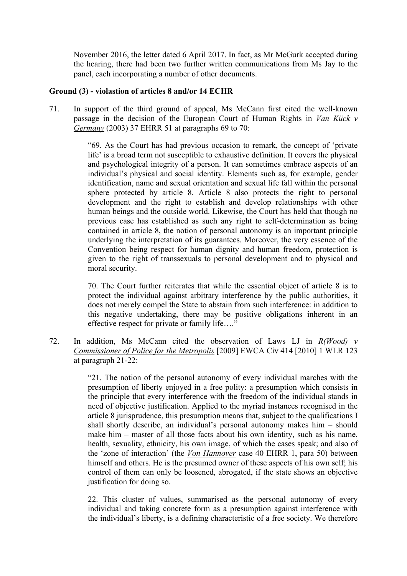November 2016, the letter dated 6 April 2017. In fact, as Mr McGurk accepted during the hearing, there had been two further written communications from Ms Jay to the panel, each incorporating a number of other documents.

### **Ground (3) - violastion of articles 8 and/or 14 ECHR**

71. In support of the third ground of appeal, Ms McCann first cited the well-known passage in the decision of the European Court of Human Rights in *Van Kück v Germany* (2003) 37 EHRR 51 at paragraphs 69 to 70:

> "69. As the Court has had previous occasion to remark, the concept of 'private life' is a broad term not susceptible to exhaustive definition. It covers the physical and psychological integrity of a person. It can sometimes embrace aspects of an individual's physical and social identity. Elements such as, for example, gender identification, name and sexual orientation and sexual life fall within the personal sphere protected by article 8. Article 8 also protects the right to personal development and the right to establish and develop relationships with other human beings and the outside world. Likewise, the Court has held that though no previous case has established as such any right to self-determination as being contained in article 8, the notion of personal autonomy is an important principle underlying the interpretation of its guarantees. Moreover, the very essence of the Convention being respect for human dignity and human freedom, protection is given to the right of transsexuals to personal development and to physical and moral security.

> 70. The Court further reiterates that while the essential object of article 8 is to protect the individual against arbitrary interference by the public authorities, it does not merely compel the State to abstain from such interference: in addition to this negative undertaking, there may be positive obligations inherent in an effective respect for private or family life…."

72. In addition, Ms McCann cited the observation of Laws LJ in *R(Wood) v Commissioner of Police for the Metropolis* [2009] EWCA Civ 414 [2010] 1 WLR 123 at paragraph 21-22:

> "21. The notion of the personal autonomy of every individual marches with the presumption of liberty enjoyed in a free polity: a presumption which consists in the principle that every interference with the freedom of the individual stands in need of objective justification. Applied to the myriad instances recognised in the article 8 jurisprudence, this presumption means that, subject to the qualifications I shall shortly describe, an individual's personal autonomy makes him – should make him – master of all those facts about his own identity, such as his name, health, sexuality, ethnicity, his own image, of which the cases speak; and also of the 'zone of interaction' (the *Von Hannover* case 40 EHRR 1, para 50) between himself and others. He is the presumed owner of these aspects of his own self; his control of them can only be loosened, abrogated, if the state shows an objective justification for doing so.

> 22. This cluster of values, summarised as the personal autonomy of every individual and taking concrete form as a presumption against interference with the individual's liberty, is a defining characteristic of a free society. We therefore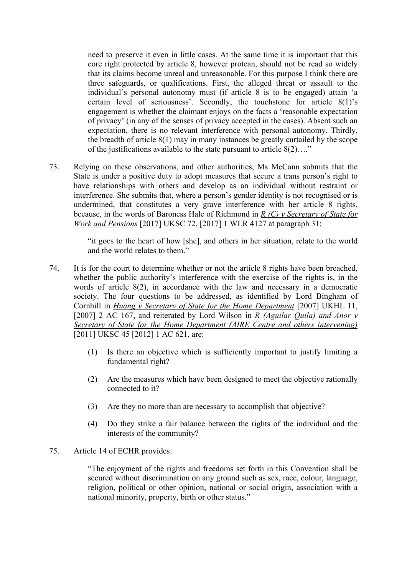need to preserve it even in little cases. At the same time it is important that this core right protected by article 8, however protean, should not be read so widely that its claims become unreal and unreasonable. For this purpose I think there are three safeguards, or qualifications. First, the alleged threat or assault to the individual's personal autonomy must (if article 8 is to be engaged) attain 'a certain level of seriousness'. Secondly, the touchstone for article 8(1)'s engagement is whether the claimant enjoys on the facts a 'reasonable expectation of privacy' (in any of the senses of privacy accepted in the cases). Absent such an expectation, there is no relevant interference with personal autonomy. Thirdly, the breadth of article 8(1) may in many instances be greatly curtailed by the scope of the justifications available to the state pursuant to article 8(2)…."

73. Relying on these observations, and other authorities, Ms McCann submits that the State is under a positive duty to adopt measures that secure a trans person's right to have relationships with others and develop as an individual without restraint or interference. She submits that, where a person's gender identity is not recognised or is undermined, that constitutes a very grave interference with her article 8 rights, because, in the words of Baroness Hale of Richmond in *R (C) v Secretary of State for Work and Pensions* [2017] UKSC 72, [2017] 1 WLR 4127 at paragraph 31:

> "it goes to the heart of how [she], and others in her situation, relate to the world and the world relates to them."

- 74. It is for the court to determine whether or not the article 8 rights have been breached, whether the public authority's interference with the exercise of the rights is, in the words of article 8(2), in accordance with the law and necessary in a democratic society. The four questions to be addressed, as identified by Lord Bingham of Cornhill in *Huang v Secretary of State for the Home Department* [2007] UKHL 11, [2007] 2 AC 167, and reiterated by Lord Wilson in *R (Aguilar Quila) and Anor v Secretary of State for the Home Department (AIRE Centre and others intervening)* [2011] UKSC 45 [2012] 1 AC 621, are:
	- (1) Is there an objective which is sufficiently important to justify limiting a fundamental right?
	- (2) Are the measures which have been designed to meet the objective rationally connected to it?
	- (3) Are they no more than are necessary to accomplish that objective?
	- (4) Do they strike a fair balance between the rights of the individual and the interests of the community?

### 75. Article 14 of ECHR provides:

"The enjoyment of the rights and freedoms set forth in this Convention shall be secured without discrimination on any ground such as sex, race, colour, language, religion, political or other opinion, national or social origin, association with a national minority, property, birth or other status."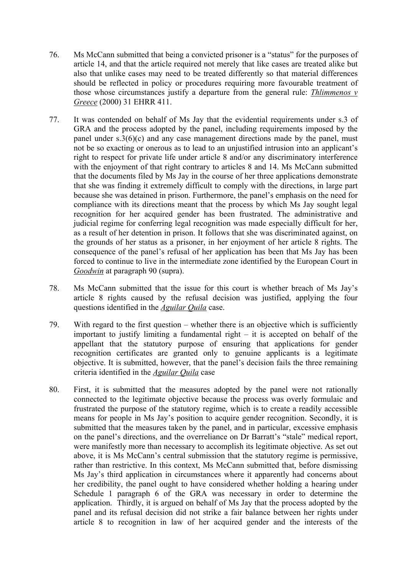- 76. Ms McCann submitted that being a convicted prisoner is a "status" for the purposes of article 14, and that the article required not merely that like cases are treated alike but also that unlike cases may need to be treated differently so that material differences should be reflected in policy or procedures requiring more favourable treatment of those whose circumstances justify a departure from the general rule: *Thlimmenos v Greece* (2000) 31 EHRR 411.
- 77. It was contended on behalf of Ms Jay that the evidential requirements under s.3 of GRA and the process adopted by the panel, including requirements imposed by the panel under s.3(6)(c) and any case management directions made by the panel, must not be so exacting or onerous as to lead to an unjustified intrusion into an applicant's right to respect for private life under article 8 and/or any discriminatory interference with the enjoyment of that right contrary to articles 8 and 14. Ms McCann submitted that the documents filed by Ms Jay in the course of her three applications demonstrate that she was finding it extremely difficult to comply with the directions, in large part because she was detained in prison. Furthermore, the panel's emphasis on the need for compliance with its directions meant that the process by which Ms Jay sought legal recognition for her acquired gender has been frustrated. The administrative and judicial regime for conferring legal recognition was made especially difficult for her, as a result of her detention in prison. It follows that she was discriminated against, on the grounds of her status as a prisoner, in her enjoyment of her article 8 rights. The consequence of the panel's refusal of her application has been that Ms Jay has been forced to continue to live in the intermediate zone identified by the European Court in *Goodwin* at paragraph 90 (supra).
- 78. Ms McCann submitted that the issue for this court is whether breach of Ms Jay's article 8 rights caused by the refusal decision was justified, applying the four questions identified in the *Aguilar Quila* case.
- 79. With regard to the first question whether there is an objective which is sufficiently important to justify limiting a fundamental right  $-$  it is accepted on behalf of the appellant that the statutory purpose of ensuring that applications for gender recognition certificates are granted only to genuine applicants is a legitimate objective. It is submitted, however, that the panel's decision fails the three remaining criteria identified in the *Aguilar Quila* case
- 80. First, it is submitted that the measures adopted by the panel were not rationally connected to the legitimate objective because the process was overly formulaic and frustrated the purpose of the statutory regime, which is to create a readily accessible means for people in Ms Jay's position to acquire gender recognition. Secondly, it is submitted that the measures taken by the panel, and in particular, excessive emphasis on the panel's directions, and the overreliance on Dr Barratt's "stale" medical report, were manifestly more than necessary to accomplish its legitimate objective. As set out above, it is Ms McCann's central submission that the statutory regime is permissive, rather than restrictive. In this context, Ms McCann submitted that, before dismissing Ms Jay's third application in circumstances where it apparently had concerns about her credibility, the panel ought to have considered whether holding a hearing under Schedule 1 paragraph 6 of the GRA was necessary in order to determine the application. Thirdly, it is argued on behalf of Ms Jay that the process adopted by the panel and its refusal decision did not strike a fair balance between her rights under article 8 to recognition in law of her acquired gender and the interests of the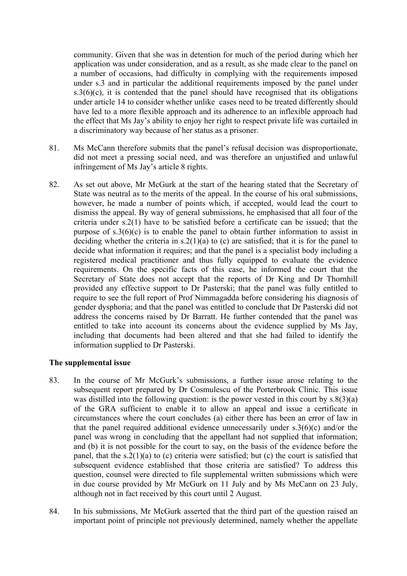community. Given that she was in detention for much of the period during which her application was under consideration, and as a result, as she made clear to the panel on a number of occasions, had difficulty in complying with the requirements imposed under s.3 and in particular the additional requirements imposed by the panel under  $s.3(6)(c)$ , it is contended that the panel should have recognised that its obligations under article 14 to consider whether unlike cases need to be treated differently should have led to a more flexible approach and its adherence to an inflexible approach had the effect that Ms Jay's ability to enjoy her right to respect private life was curtailed in a discriminatory way because of her status as a prisoner.

- 81. Ms McCann therefore submits that the panel's refusal decision was disproportionate, did not meet a pressing social need, and was therefore an unjustified and unlawful infringement of Ms Jay's article 8 rights.
- 82. As set out above, Mr McGurk at the start of the hearing stated that the Secretary of State was neutral as to the merits of the appeal. In the course of his oral submissions, however, he made a number of points which, if accepted, would lead the court to dismiss the appeal. By way of general submissions, he emphasised that all four of the criteria under s.2(1) have to be satisfied before a certificate can be issued; that the purpose of  $s.3(6)(c)$  is to enable the panel to obtain further information to assist in deciding whether the criteria in  $s \cdot 2(1)(a)$  to (c) are satisfied; that it is for the panel to decide what information it requires; and that the panel is a specialist body including a registered medical practitioner and thus fully equipped to evaluate the evidence requirements. On the specific facts of this case, he informed the court that the Secretary of State does not accept that the reports of Dr King and Dr Thornhill provided any effective support to Dr Pasterski; that the panel was fully entitled to require to see the full report of Prof Nimmagadda before considering his diagnosis of gender dysphoria; and that the panel was entitled to conclude that Dr Pasterski did not address the concerns raised by Dr Barratt. He further contended that the panel was entitled to take into account its concerns about the evidence supplied by Ms Jay, including that documents had been altered and that she had failed to identify the information supplied to Dr Pasterski.

### **The supplemental issue**

- 83. In the course of Mr McGurk's submissions, a further issue arose relating to the subsequent report prepared by Dr Cosmulescu of the Porterbrook Clinic. This issue was distilled into the following question: is the power vested in this court by  $s.\frac{8(3)}{a}$ of the GRA sufficient to enable it to allow an appeal and issue a certificate in circumstances where the court concludes (a) either there has been an error of law in that the panel required additional evidence unnecessarily under s.3(6)(c) and/or the panel was wrong in concluding that the appellant had not supplied that information; and (b) it is not possible for the court to say, on the basis of the evidence before the panel, that the s.2(1)(a) to (c) criteria were satisfied; but (c) the court is satisfied that subsequent evidence established that those criteria are satisfied? To address this question, counsel were directed to file supplemental written submissions which were in due course provided by Mr McGurk on 11 July and by Ms McCann on 23 July, although not in fact received by this court until 2 August.
- 84. In his submissions, Mr McGurk asserted that the third part of the question raised an important point of principle not previously determined, namely whether the appellate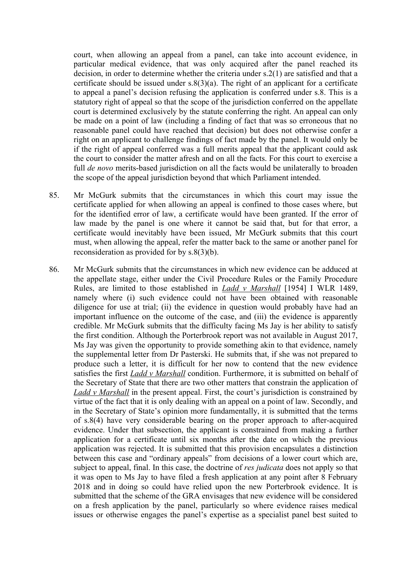court, when allowing an appeal from a panel, can take into account evidence, in particular medical evidence, that was only acquired after the panel reached its decision, in order to determine whether the criteria under s.2(1) are satisfied and that a certificate should be issued under  $s.8(3)(a)$ . The right of an applicant for a certificate to appeal a panel's decision refusing the application is conferred under s.8. This is a statutory right of appeal so that the scope of the jurisdiction conferred on the appellate court is determined exclusively by the statute conferring the right. An appeal can only be made on a point of law (including a finding of fact that was so erroneous that no reasonable panel could have reached that decision) but does not otherwise confer a right on an applicant to challenge findings of fact made by the panel. It would only be if the right of appeal conferred was a full merits appeal that the applicant could ask the court to consider the matter afresh and on all the facts. For this court to exercise a full *de novo* merits-based jurisdiction on all the facts would be unilaterally to broaden the scope of the appeal jurisdiction beyond that which Parliament intended.

- 85. Mr McGurk submits that the circumstances in which this court may issue the certificate applied for when allowing an appeal is confined to those cases where, but for the identified error of law, a certificate would have been granted. If the error of law made by the panel is one where it cannot be said that, but for that error, a certificate would inevitably have been issued, Mr McGurk submits that this court must, when allowing the appeal, refer the matter back to the same or another panel for reconsideration as provided for by s.8(3)(b).
- 86. Mr McGurk submits that the circumstances in which new evidence can be adduced at the appellate stage, either under the Civil Procedure Rules or the Family Procedure Rules, are limited to those established in *Ladd v Marshall* [1954] I WLR 1489, namely where (i) such evidence could not have been obtained with reasonable diligence for use at trial; (ii) the evidence in question would probably have had an important influence on the outcome of the case, and (iii) the evidence is apparently credible. Mr McGurk submits that the difficulty facing Ms Jay is her ability to satisfy the first condition. Although the Porterbrook report was not available in August 2017, Ms Jay was given the opportunity to provide something akin to that evidence, namely the supplemental letter from Dr Pasterski. He submits that, if she was not prepared to produce such a letter, it is difficult for her now to contend that the new evidence satisfies the first *Ladd v Marshall* condition. Furthermore, it is submitted on behalf of the Secretary of State that there are two other matters that constrain the application of *Ladd v Marshall* in the present appeal. First, the court's jurisdiction is constrained by virtue of the fact that it is only dealing with an appeal on a point of law. Secondly, and in the Secretary of State's opinion more fundamentally, it is submitted that the terms of s.8(4) have very considerable bearing on the proper approach to after-acquired evidence. Under that subsection, the applicant is constrained from making a further application for a certificate until six months after the date on which the previous application was rejected. It is submitted that this provision encapsulates a distinction between this case and "ordinary appeals" from decisions of a lower court which are, subject to appeal, final. In this case, the doctrine of *res judicata* does not apply so that it was open to Ms Jay to have filed a fresh application at any point after 8 February 2018 and in doing so could have relied upon the new Porterbrook evidence. It is submitted that the scheme of the GRA envisages that new evidence will be considered on a fresh application by the panel, particularly so where evidence raises medical issues or otherwise engages the panel's expertise as a specialist panel best suited to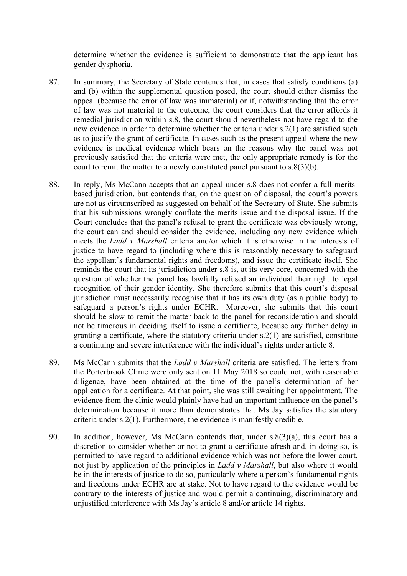determine whether the evidence is sufficient to demonstrate that the applicant has gender dysphoria.

- 87. In summary, the Secretary of State contends that, in cases that satisfy conditions (a) and (b) within the supplemental question posed, the court should either dismiss the appeal (because the error of law was immaterial) or if, notwithstanding that the error of law was not material to the outcome, the court considers that the error affords it remedial jurisdiction within s.8, the court should nevertheless not have regard to the new evidence in order to determine whether the criteria under s.2(1) are satisfied such as to justify the grant of certificate. In cases such as the present appeal where the new evidence is medical evidence which bears on the reasons why the panel was not previously satisfied that the criteria were met, the only appropriate remedy is for the court to remit the matter to a newly constituted panel pursuant to s.8(3)(b).
- 88. In reply, Ms McCann accepts that an appeal under s.8 does not confer a full meritsbased jurisdiction, but contends that, on the question of disposal, the court's powers are not as circumscribed as suggested on behalf of the Secretary of State. She submits that his submissions wrongly conflate the merits issue and the disposal issue. If the Court concludes that the panel's refusal to grant the certificate was obviously wrong, the court can and should consider the evidence, including any new evidence which meets the *Ladd v Marshall* criteria and/or which it is otherwise in the interests of justice to have regard to (including where this is reasonably necessary to safeguard the appellant's fundamental rights and freedoms), and issue the certificate itself. She reminds the court that its jurisdiction under s.8 is, at its very core, concerned with the question of whether the panel has lawfully refused an individual their right to legal recognition of their gender identity. She therefore submits that this court's disposal jurisdiction must necessarily recognise that it has its own duty (as a public body) to safeguard a person's rights under ECHR. Moreover, she submits that this court should be slow to remit the matter back to the panel for reconsideration and should not be timorous in deciding itself to issue a certificate, because any further delay in granting a certificate, where the statutory criteria under s.2(1) are satisfied, constitute a continuing and severe interference with the individual's rights under article 8.
- 89. Ms McCann submits that the *Ladd v Marshall* criteria are satisfied. The letters from the Porterbrook Clinic were only sent on 11 May 2018 so could not, with reasonable diligence, have been obtained at the time of the panel's determination of her application for a certificate. At that point, she was still awaiting her appointment. The evidence from the clinic would plainly have had an important influence on the panel's determination because it more than demonstrates that Ms Jay satisfies the statutory criteria under s.2(1). Furthermore, the evidence is manifestly credible.
- 90. In addition, however, Ms McCann contends that, under s.8(3)(a), this court has a discretion to consider whether or not to grant a certificate afresh and, in doing so, is permitted to have regard to additional evidence which was not before the lower court, not just by application of the principles in *Ladd v Marshall*, but also where it would be in the interests of justice to do so, particularly where a person's fundamental rights and freedoms under ECHR are at stake. Not to have regard to the evidence would be contrary to the interests of justice and would permit a continuing, discriminatory and unjustified interference with Ms Jay's article 8 and/or article 14 rights.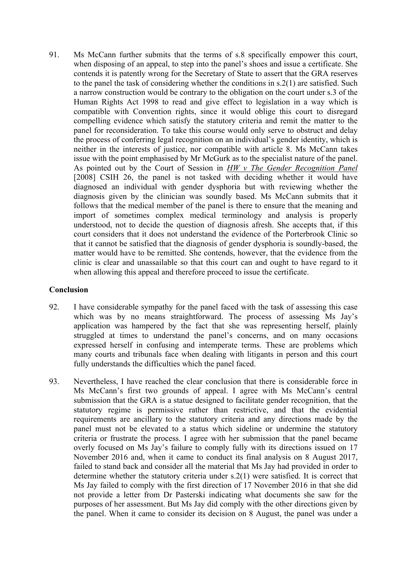91. Ms McCann further submits that the terms of s.8 specifically empower this court, when disposing of an appeal, to step into the panel's shoes and issue a certificate. She contends it is patently wrong for the Secretary of State to assert that the GRA reserves to the panel the task of considering whether the conditions in s.2(1) are satisfied. Such a narrow construction would be contrary to the obligation on the court under s.3 of the Human Rights Act 1998 to read and give effect to legislation in a way which is compatible with Convention rights, since it would oblige this court to disregard compelling evidence which satisfy the statutory criteria and remit the matter to the panel for reconsideration. To take this course would only serve to obstruct and delay the process of conferring legal recognition on an individual's gender identity, which is neither in the interests of justice, nor compatible with article 8. Ms McCann takes issue with the point emphasised by Mr McGurk as to the specialist nature of the panel. As pointed out by the Court of Session in *HW v The Gender Recognition Panel*  [2008] CSIH 26, the panel is not tasked with deciding whether it would have diagnosed an individual with gender dysphoria but with reviewing whether the diagnosis given by the clinician was soundly based. Ms McCann submits that it follows that the medical member of the panel is there to ensure that the meaning and import of sometimes complex medical terminology and analysis is properly understood, not to decide the question of diagnosis afresh. She accepts that, if this court considers that it does not understand the evidence of the Porterbrook Clinic so that it cannot be satisfied that the diagnosis of gender dysphoria is soundly-based, the matter would have to be remitted. She contends, however, that the evidence from the clinic is clear and unassailable so that this court can and ought to have regard to it when allowing this appeal and therefore proceed to issue the certificate.

### **Conclusion**

- 92. I have considerable sympathy for the panel faced with the task of assessing this case which was by no means straightforward. The process of assessing Ms Jay's application was hampered by the fact that she was representing herself, plainly struggled at times to understand the panel's concerns, and on many occasions expressed herself in confusing and intemperate terms. These are problems which many courts and tribunals face when dealing with litigants in person and this court fully understands the difficulties which the panel faced.
- 93. Nevertheless, I have reached the clear conclusion that there is considerable force in Ms McCann's first two grounds of appeal. I agree with Ms McCann's central submission that the GRA is a statue designed to facilitate gender recognition, that the statutory regime is permissive rather than restrictive, and that the evidential requirements are ancillary to the statutory criteria and any directions made by the panel must not be elevated to a status which sideline or undermine the statutory criteria or frustrate the process. I agree with her submission that the panel became overly focused on Ms Jay's failure to comply fully with its directions issued on 17 November 2016 and, when it came to conduct its final analysis on 8 August 2017, failed to stand back and consider all the material that Ms Jay had provided in order to determine whether the statutory criteria under s.2(1) were satisfied. It is correct that Ms Jay failed to comply with the first direction of 17 November 2016 in that she did not provide a letter from Dr Pasterski indicating what documents she saw for the purposes of her assessment. But Ms Jay did comply with the other directions given by the panel. When it came to consider its decision on 8 August, the panel was under a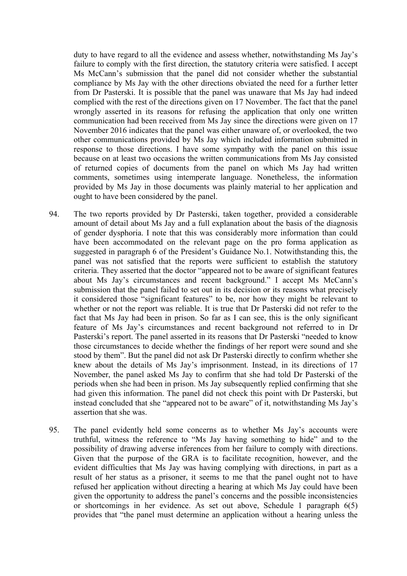duty to have regard to all the evidence and assess whether, notwithstanding Ms Jay's failure to comply with the first direction, the statutory criteria were satisfied. I accept Ms McCann's submission that the panel did not consider whether the substantial compliance by Ms Jay with the other directions obviated the need for a further letter from Dr Pasterski. It is possible that the panel was unaware that Ms Jay had indeed complied with the rest of the directions given on 17 November. The fact that the panel wrongly asserted in its reasons for refusing the application that only one written communication had been received from Ms Jay since the directions were given on 17 November 2016 indicates that the panel was either unaware of, or overlooked, the two other communications provided by Ms Jay which included information submitted in response to those directions. I have some sympathy with the panel on this issue because on at least two occasions the written communications from Ms Jay consisted of returned copies of documents from the panel on which Ms Jay had written comments, sometimes using intemperate language. Nonetheless, the information provided by Ms Jay in those documents was plainly material to her application and ought to have been considered by the panel.

- 94. The two reports provided by Dr Pasterski, taken together, provided a considerable amount of detail about Ms Jay and a full explanation about the basis of the diagnosis of gender dysphoria. I note that this was considerably more information than could have been accommodated on the relevant page on the pro forma application as suggested in paragraph 6 of the President's Guidance No.1. Notwithstanding this, the panel was not satisfied that the reports were sufficient to establish the statutory criteria. They asserted that the doctor "appeared not to be aware of significant features about Ms Jay's circumstances and recent background." I accept Ms McCann's submission that the panel failed to set out in its decision or its reasons what precisely it considered those "significant features" to be, nor how they might be relevant to whether or not the report was reliable. It is true that Dr Pasterski did not refer to the fact that Ms Jay had been in prison. So far as I can see, this is the only significant feature of Ms Jay's circumstances and recent background not referred to in Dr Pasterski's report. The panel asserted in its reasons that Dr Pasterski "needed to know those circumstances to decide whether the findings of her report were sound and she stood by them". But the panel did not ask Dr Pasterski directly to confirm whether she knew about the details of Ms Jay's imprisonment. Instead, in its directions of 17 November, the panel asked Ms Jay to confirm that she had told Dr Pasterski of the periods when she had been in prison. Ms Jay subsequently replied confirming that she had given this information. The panel did not check this point with Dr Pasterski, but instead concluded that she "appeared not to be aware" of it, notwithstanding Ms Jay's assertion that she was.
- 95. The panel evidently held some concerns as to whether Ms Jay's accounts were truthful, witness the reference to "Ms Jay having something to hide" and to the possibility of drawing adverse inferences from her failure to comply with directions. Given that the purpose of the GRA is to facilitate recognition, however, and the evident difficulties that Ms Jay was having complying with directions, in part as a result of her status as a prisoner, it seems to me that the panel ought not to have refused her application without directing a hearing at which Ms Jay could have been given the opportunity to address the panel's concerns and the possible inconsistencies or shortcomings in her evidence. As set out above, Schedule 1 paragraph 6(5) provides that "the panel must determine an application without a hearing unless the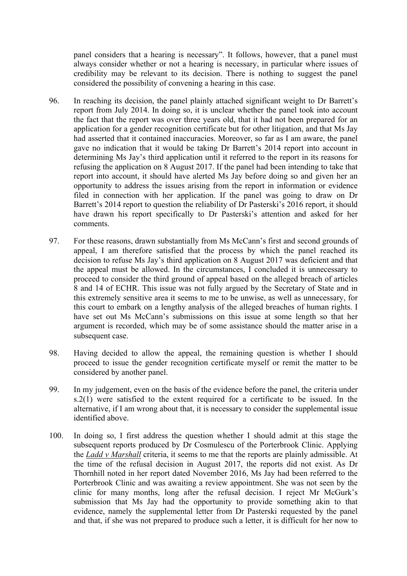panel considers that a hearing is necessary". It follows, however, that a panel must always consider whether or not a hearing is necessary, in particular where issues of credibility may be relevant to its decision. There is nothing to suggest the panel considered the possibility of convening a hearing in this case.

- 96. In reaching its decision, the panel plainly attached significant weight to Dr Barrett's report from July 2014. In doing so, it is unclear whether the panel took into account the fact that the report was over three years old, that it had not been prepared for an application for a gender recognition certificate but for other litigation, and that Ms Jay had asserted that it contained inaccuracies. Moreover, so far as I am aware, the panel gave no indication that it would be taking Dr Barrett's 2014 report into account in determining Ms Jay's third application until it referred to the report in its reasons for refusing the application on 8 August 2017. If the panel had been intending to take that report into account, it should have alerted Ms Jay before doing so and given her an opportunity to address the issues arising from the report in information or evidence filed in connection with her application. If the panel was going to draw on Dr Barrett's 2014 report to question the reliability of Dr Pasterski's 2016 report, it should have drawn his report specifically to Dr Pasterski's attention and asked for her comments.
- 97. For these reasons, drawn substantially from Ms McCann's first and second grounds of appeal, I am therefore satisfied that the process by which the panel reached its decision to refuse Ms Jay's third application on 8 August 2017 was deficient and that the appeal must be allowed. In the circumstances, I concluded it is unnecessary to proceed to consider the third ground of appeal based on the alleged breach of articles 8 and 14 of ECHR. This issue was not fully argued by the Secretary of State and in this extremely sensitive area it seems to me to be unwise, as well as unnecessary, for this court to embark on a lengthy analysis of the alleged breaches of human rights. I have set out Ms McCann's submissions on this issue at some length so that her argument is recorded, which may be of some assistance should the matter arise in a subsequent case.
- 98. Having decided to allow the appeal, the remaining question is whether I should proceed to issue the gender recognition certificate myself or remit the matter to be considered by another panel.
- 99. In my judgement, even on the basis of the evidence before the panel, the criteria under s.2(1) were satisfied to the extent required for a certificate to be issued. In the alternative, if I am wrong about that, it is necessary to consider the supplemental issue identified above.
- 100. In doing so, I first address the question whether I should admit at this stage the subsequent reports produced by Dr Cosmulescu of the Porterbrook Clinic. Applying the *Ladd v Marshall* criteria, it seems to me that the reports are plainly admissible. At the time of the refusal decision in August 2017, the reports did not exist. As Dr Thornhill noted in her report dated November 2016, Ms Jay had been referred to the Porterbrook Clinic and was awaiting a review appointment. She was not seen by the clinic for many months, long after the refusal decision. I reject Mr McGurk's submission that Ms Jay had the opportunity to provide something akin to that evidence, namely the supplemental letter from Dr Pasterski requested by the panel and that, if she was not prepared to produce such a letter, it is difficult for her now to